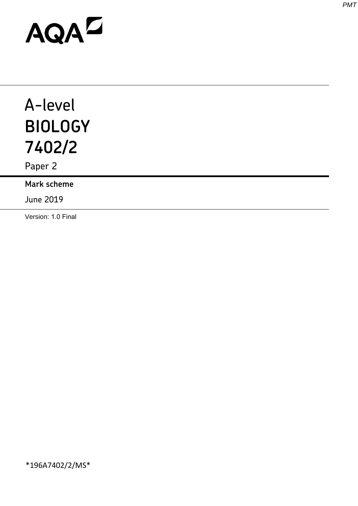# AQAD

# A-level **BIOLOGY 7402/2**

Paper 2

**Mark scheme**

June 2019

Version: 1.0 Final

*PMT*

\*196A7402/2/MS\*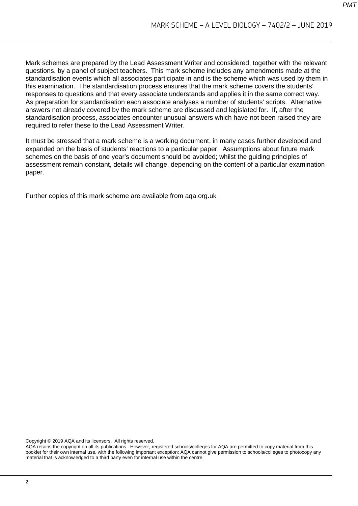Mark schemes are prepared by the Lead Assessment Writer and considered, together with the relevant questions, by a panel of subject teachers. This mark scheme includes any amendments made at the standardisation events which all associates participate in and is the scheme which was used by them in this examination. The standardisation process ensures that the mark scheme covers the students' responses to questions and that every associate understands and applies it in the same correct way. As preparation for standardisation each associate analyses a number of students' scripts. Alternative answers not already covered by the mark scheme are discussed and legislated for. If, after the standardisation process, associates encounter unusual answers which have not been raised they are required to refer these to the Lead Assessment Writer.

It must be stressed that a mark scheme is a working document, in many cases further developed and expanded on the basis of students' reactions to a particular paper. Assumptions about future mark schemes on the basis of one year's document should be avoided; whilst the guiding principles of assessment remain constant, details will change, depending on the content of a particular examination paper.

Further copies of this mark scheme are available from aqa.org.uk

Copyright © 2019 AQA and its licensors. All rights reserved.

AQA retains the copyright on all its publications. However, registered schools/colleges for AQA are permitted to copy material from this booklet for their own internal use, with the following important exception: AQA cannot give permission to schools/colleges to photocopy any material that is acknowledged to a third party even for internal use within the centre.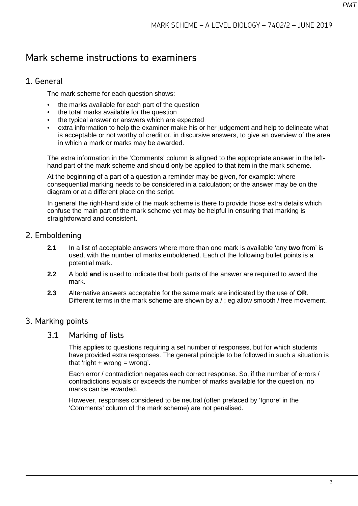# Mark scheme instructions to examiners

#### 1. General

The mark scheme for each question shows:

- the marks available for each part of the question
- the total marks available for the question
- the typical answer or answers which are expected
- extra information to help the examiner make his or her judgement and help to delineate what is acceptable or not worthy of credit or, in discursive answers, to give an overview of the area in which a mark or marks may be awarded.

The extra information in the 'Comments' column is aligned to the appropriate answer in the lefthand part of the mark scheme and should only be applied to that item in the mark scheme.

At the beginning of a part of a question a reminder may be given, for example: where consequential marking needs to be considered in a calculation; or the answer may be on the diagram or at a different place on the script.

In general the right-hand side of the mark scheme is there to provide those extra details which confuse the main part of the mark scheme yet may be helpful in ensuring that marking is straightforward and consistent.

#### 2. Emboldening

- **2.1** In a list of acceptable answers where more than one mark is available 'any **two** from' is used, with the number of marks emboldened. Each of the following bullet points is a potential mark.
- **2.2** A bold **and** is used to indicate that both parts of the answer are required to award the mark.
- **2.3** Alternative answers acceptable for the same mark are indicated by the use of **OR**. Different terms in the mark scheme are shown by a / ; eg allow smooth / free movement.

#### 3. Marking points

#### 3.1 Marking of lists

This applies to questions requiring a set number of responses, but for which students have provided extra responses. The general principle to be followed in such a situation is that 'right  $+$  wrong  $=$  wrong'.

Each error / contradiction negates each correct response. So, if the number of errors / contradictions equals or exceeds the number of marks available for the question, no marks can be awarded.

However, responses considered to be neutral (often prefaced by 'Ignore' in the 'Comments' column of the mark scheme) are not penalised.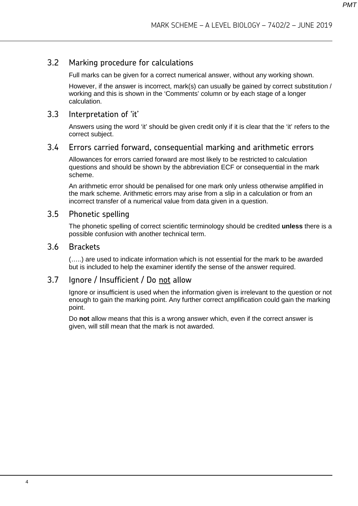#### 3.2 Marking procedure for calculations

Full marks can be given for a correct numerical answer, without any working shown.

However, if the answer is incorrect, mark(s) can usually be gained by correct substitution / working and this is shown in the 'Comments' column or by each stage of a longer calculation.

#### 3.3 Interpretation of 'it'

Answers using the word 'it' should be given credit only if it is clear that the 'it' refers to the correct subject.

#### 3.4 Errors carried forward, consequential marking and arithmetic errors

Allowances for errors carried forward are most likely to be restricted to calculation questions and should be shown by the abbreviation ECF or consequential in the mark scheme.

An arithmetic error should be penalised for one mark only unless otherwise amplified in the mark scheme. Arithmetic errors may arise from a slip in a calculation or from an incorrect transfer of a numerical value from data given in a question.

#### 3.5 Phonetic spelling

The phonetic spelling of correct scientific terminology should be credited **unless** there is a possible confusion with another technical term.

#### 3.6 Brackets

(…..) are used to indicate information which is not essential for the mark to be awarded but is included to help the examiner identify the sense of the answer required.

#### 3.7 Ignore / Insufficient / Do not allow

Ignore or insufficient is used when the information given is irrelevant to the question or not enough to gain the marking point. Any further correct amplification could gain the marking point.

Do **not** allow means that this is a wrong answer which, even if the correct answer is given, will still mean that the mark is not awarded.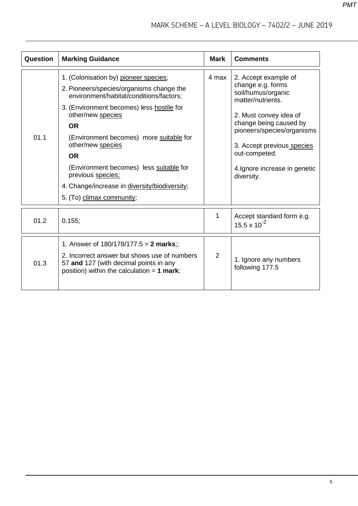| Question | <b>Marking Guidance</b>                                                                                                                                                                                                                                                                                                                                                                                                                | <b>Mark</b>    | <b>Comments</b>                                                                                                                                                                                                                                                      |
|----------|----------------------------------------------------------------------------------------------------------------------------------------------------------------------------------------------------------------------------------------------------------------------------------------------------------------------------------------------------------------------------------------------------------------------------------------|----------------|----------------------------------------------------------------------------------------------------------------------------------------------------------------------------------------------------------------------------------------------------------------------|
| 01.1     | 1. (Colonisation by) pioneer species;<br>2. Pioneers/species/organisms change the<br>environment/habitat/conditions/factors;<br>3. (Environment becomes) less hostile for<br>other/new species<br><b>OR</b><br>(Environment becomes) more suitable for<br>other/new species<br><b>OR</b><br>(Environment becomes) less suitable for<br>previous species;<br>4. Change/increase in diversity/biodiversity;<br>5. (To) climax community; | 4 max          | 2. Accept example of<br>change e.g. forms<br>soil/humus/organic<br>matter/nutrients.<br>2. Must convey idea of<br>change being caused by<br>pioneers/species/organisms<br>3. Accept previous species<br>out-competed.<br>4. Ignore increase in genetic<br>diversity. |
| 01.2     | 0.155;                                                                                                                                                                                                                                                                                                                                                                                                                                 | 1              | Accept standard form e.g.<br>$15.5 \times 10^{-2}$                                                                                                                                                                                                                   |
| 01.3     | 1. Answer of $180/178/177.5 = 2$ marks;;<br>2. Incorrect answer but shows use of numbers<br>57 and 127 (with decimal points in any<br>position) within the calculation = $1$ mark;                                                                                                                                                                                                                                                     | $\overline{2}$ | 1. Ignore any numbers<br>following 177.5                                                                                                                                                                                                                             |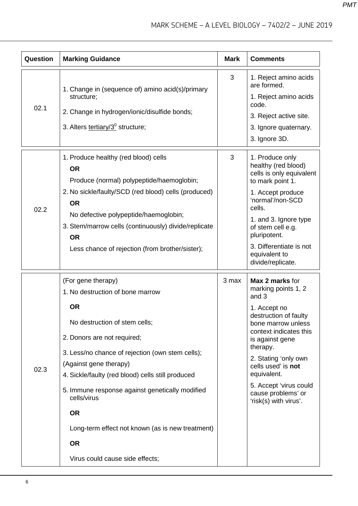| Question | <b>Marking Guidance</b>                                                                                                                                                                                                                                                                                                                                                                                                                                   | <b>Mark</b> | <b>Comments</b>                                                                                                                                                                                                                                                                                               |
|----------|-----------------------------------------------------------------------------------------------------------------------------------------------------------------------------------------------------------------------------------------------------------------------------------------------------------------------------------------------------------------------------------------------------------------------------------------------------------|-------------|---------------------------------------------------------------------------------------------------------------------------------------------------------------------------------------------------------------------------------------------------------------------------------------------------------------|
| 02.1     | 1. Change in (sequence of) amino acid(s)/primary<br>structure;<br>2. Change in hydrogen/ionic/disulfide bonds;<br>3. Alters tertiary/3 <sup>0</sup> structure;                                                                                                                                                                                                                                                                                            | 3           | 1. Reject amino acids<br>are formed.<br>1. Reject amino acids<br>code.<br>3. Reject active site.<br>3. Ignore quaternary.<br>3. Ignore 3D.                                                                                                                                                                    |
| 02.2     | 1. Produce healthy (red blood) cells<br><b>OR</b><br>Produce (normal) polypeptide/haemoglobin;<br>2. No sickle/faulty/SCD (red blood) cells (produced)<br><b>OR</b><br>No defective polypeptide/haemoglobin;<br>3. Stem/marrow cells (continuously) divide/replicate<br><b>OR</b><br>Less chance of rejection (from brother/sister);                                                                                                                      | 3           | 1. Produce only<br>healthy (red blood)<br>cells is only equivalent<br>to mark point 1.<br>1. Accept produce<br>'normal'/non-SCD<br>cells.<br>1. and 3. Ignore type<br>of stem cell e.g.<br>pluripotent.<br>3. Differentiate is not<br>equivalent to<br>divide/replicate.                                      |
| 02.3     | (For gene therapy)<br>1. No destruction of bone marrow<br><b>OR</b><br>No destruction of stem cells;<br>2. Donors are not required;<br>3. Less/no chance of rejection (own stem cells);<br>(Against gene therapy)<br>4. Sickle/faulty (red blood) cells still produced<br>5. Immune response against genetically modified<br>cells/virus<br><b>OR</b><br>Long-term effect not known (as is new treatment)<br><b>OR</b><br>Virus could cause side effects; | 3 max       | Max 2 marks for<br>marking points 1, 2<br>and 3<br>1. Accept no<br>destruction of faulty<br>bone marrow unless<br>context indicates this<br>is against gene<br>therapy.<br>2. Stating 'only own<br>cells used' is not<br>equivalent.<br>5. Accept 'virus could<br>cause problems' or<br>'risk(s) with virus'. |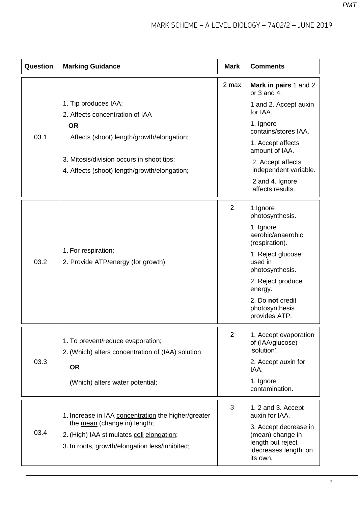| Question | <b>Marking Guidance</b>                                                                                                     | <b>Mark</b>    | <b>Comments</b>                                                                                     |
|----------|-----------------------------------------------------------------------------------------------------------------------------|----------------|-----------------------------------------------------------------------------------------------------|
|          |                                                                                                                             | 2 max          | Mark in pairs 1 and 2<br>or $3$ and $4$ .                                                           |
|          | 1. Tip produces IAA;<br>2. Affects concentration of IAA                                                                     |                | 1 and 2. Accept auxin<br>for IAA.                                                                   |
|          | <b>OR</b>                                                                                                                   |                | 1. Ignore<br>contains/stores IAA.                                                                   |
| 03.1     | Affects (shoot) length/growth/elongation;                                                                                   |                | 1. Accept affects<br>amount of IAA.                                                                 |
|          | 3. Mitosis/division occurs in shoot tips;<br>4. Affects (shoot) length/growth/elongation;                                   |                | 2. Accept affects<br>independent variable.                                                          |
|          |                                                                                                                             |                | 2 and 4. Ignore<br>affects results.                                                                 |
|          |                                                                                                                             | 2              | 1.Ignore<br>photosynthesis.                                                                         |
|          | 1. For respiration;<br>2. Provide ATP/energy (for growth);                                                                  |                | 1. Ignore<br>aerobic/anaerobic<br>(respiration).                                                    |
| 03.2     |                                                                                                                             |                | 1. Reject glucose<br>used in<br>photosynthesis.                                                     |
|          |                                                                                                                             |                | 2. Reject produce<br>energy.                                                                        |
|          |                                                                                                                             |                | 2. Do not credit<br>photosynthesis<br>provides ATP.                                                 |
|          | 1. To prevent/reduce evaporation;<br>2. (Which) alters concentration of (IAA) solution                                      | $\overline{2}$ | 1. Accept evaporation<br>of (IAA/glucose)<br>'solution'.                                            |
| 03.3     | <b>OR</b>                                                                                                                   |                | 2. Accept auxin for<br>IAA.                                                                         |
|          | (Which) alters water potential;                                                                                             |                | 1. Ignore<br>contamination.                                                                         |
| 03.4     | 1. Increase in IAA concentration the higher/greater                                                                         | 3              | 1, 2 and 3. Accept<br>auxin for IAA.                                                                |
|          | the mean (change in) length;<br>2. (High) IAA stimulates cell elongation;<br>3. In roots, growth/elongation less/inhibited; |                | 3. Accept decrease in<br>(mean) change in<br>length but reject<br>'decreases length' on<br>its own. |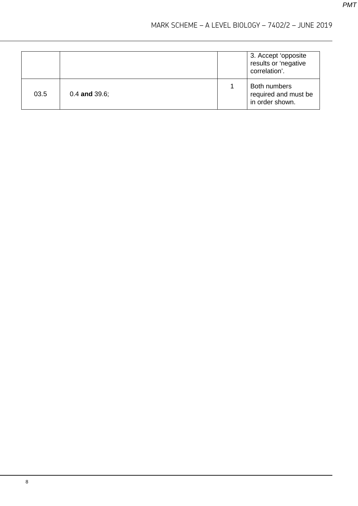|      |                    | 3. Accept 'opposite<br>results or 'negative<br>correlation'. |
|------|--------------------|--------------------------------------------------------------|
| 03.5 | $0.4$ and $39.6$ ; | Both numbers<br>required and must be<br>in order shown.      |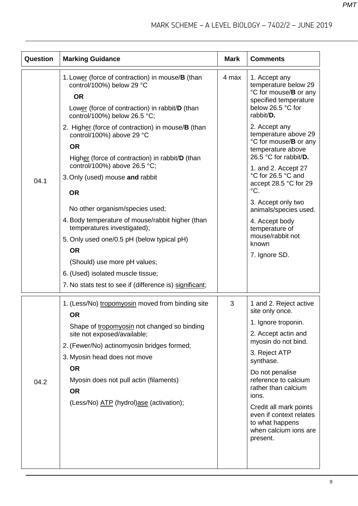| Question | <b>Marking Guidance</b>                                                                                                                                                                                                                                                                                                                                                                                                                                                                                                                                 | <b>Mark</b> | <b>Comments</b>                                                                                                                                                                                                                                                                                                                                   |
|----------|---------------------------------------------------------------------------------------------------------------------------------------------------------------------------------------------------------------------------------------------------------------------------------------------------------------------------------------------------------------------------------------------------------------------------------------------------------------------------------------------------------------------------------------------------------|-------------|---------------------------------------------------------------------------------------------------------------------------------------------------------------------------------------------------------------------------------------------------------------------------------------------------------------------------------------------------|
|          | 1. Lower (force of contraction) in mouse/B (than<br>control/100%) below 29 °C<br><b>OR</b><br>Lower (force of contraction) in rabbit/D (than<br>control/100%) below 26.5 °C;                                                                                                                                                                                                                                                                                                                                                                            | 4 max       | 1. Accept any<br>temperature below 29<br>°C for mouse/ <b>B</b> or any<br>specified temperature<br>below 26.5 °C for<br>rabbit/D.                                                                                                                                                                                                                 |
| 04.1     | 2. Higher (force of contraction) in mouse/ <b>B</b> (than<br>control/100%) above 29 °C<br><b>OR</b><br>Higher (force of contraction) in rabbit/D (than<br>control/100%) above 26.5 °C;<br>3. Only (used) mouse and rabbit<br><b>OR</b><br>No other organism/species used;<br>4. Body temperature of mouse/rabbit higher (than<br>temperatures investigated);<br>5. Only used one/0.5 pH (below typical pH)<br><b>OR</b><br>(Should) use more pH values;<br>6. (Used) isolated muscle tissue;<br>7. No stats test to see if (difference is) significant; |             | 2. Accept any<br>temperature above 29<br>°C for mouse/ <b>B</b> or any<br>temperature above<br>26.5 °C for rabbit/D.<br>1. and 2. Accept 27<br>°C for 26.5 °C and<br>accept 28.5 °C for 29<br>$\rm{^{\circ}C}$ .<br>3. Accept only two<br>animals/species used.<br>4. Accept body<br>temperature of<br>mouse/rabbit not<br>known<br>7. Ignore SD. |
| 04.2     | 1. (Less/No) tropomyosin moved from binding site<br><b>OR</b><br>Shape of tropomyosin not changed so binding<br>site not exposed/available;<br>2. (Fewer/No) actinomyosin bridges formed;<br>3. Myosin head does not move<br><b>OR</b><br>Myosin does not pull actin (filaments)<br><b>OR</b><br>(Less/No) ATP (hydrol)ase (activation);                                                                                                                                                                                                                | 3           | 1 and 2. Reject active<br>site only once.<br>1. Ignore troponin.<br>2. Accept actin and<br>myosin do not bind.<br>3. Reject ATP<br>synthase.<br>Do not penalise<br>reference to calcium<br>rather than calcium<br>ions.<br>Credit all mark points<br>even if context relates<br>to what happens<br>when calcium ions are<br>present.              |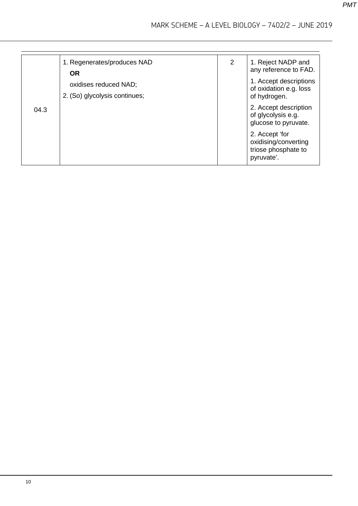|      | 1. Regenerates/produces NAD<br><b>OR</b>               | 2 | 1. Reject NADP and<br>any reference to FAD.                                 |
|------|--------------------------------------------------------|---|-----------------------------------------------------------------------------|
|      | oxidises reduced NAD;<br>2. (So) glycolysis continues; |   | 1. Accept descriptions<br>of oxidation e.g. loss<br>of hydrogen.            |
| 04.3 |                                                        |   | 2. Accept description<br>of glycolysis e.g.<br>glucose to pyruvate.         |
|      |                                                        |   | 2. Accept 'for<br>oxidising/converting<br>triose phosphate to<br>pyruvate'. |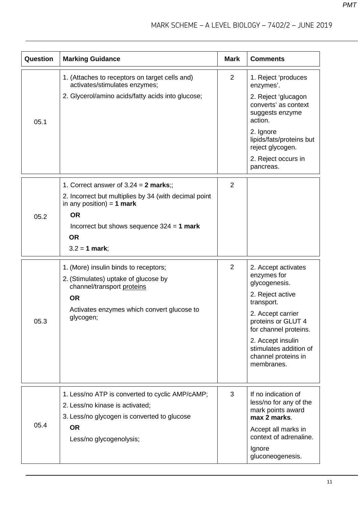| Question | <b>Marking Guidance</b>                                                                                                                                                                                                   | <b>Mark</b> | <b>Comments</b>                                                                                                                                                                                                                               |
|----------|---------------------------------------------------------------------------------------------------------------------------------------------------------------------------------------------------------------------------|-------------|-----------------------------------------------------------------------------------------------------------------------------------------------------------------------------------------------------------------------------------------------|
| 05.1     | 1. (Attaches to receptors on target cells and)<br>activates/stimulates enzymes;<br>2. Glycerol/amino acids/fatty acids into glucose;                                                                                      | 2           | 1. Reject 'produces<br>enzymes'.<br>2. Reject 'glucagon<br>converts' as context<br>suggests enzyme<br>action.<br>2. Ignore<br>lipids/fats/proteins but<br>reject glycogen.<br>2. Reject occurs in<br>pancreas.                                |
| 05.2     | 1. Correct answer of $3.24 = 2$ marks;;<br>2. Incorrect but multiplies by 34 (with decimal point<br>in any position) = 1 mark<br><b>OR</b><br>Incorrect but shows sequence $324 = 1$ mark<br><b>OR</b><br>$3.2 = 1$ mark; | 2           |                                                                                                                                                                                                                                               |
| 05.3     | 1. (More) insulin binds to receptors;<br>2. (Stimulates) uptake of glucose by<br>channel/transport proteins<br><b>OR</b><br>Activates enzymes which convert glucose to<br>glycogen;                                       | 2           | 2. Accept activates<br>enzymes for<br>glycogenesis.<br>2. Reject active<br>transport.<br>2. Accept carrier<br>proteins or GLUT 4<br>for channel proteins.<br>2. Accept insulin<br>stimulates addition of<br>channel proteins in<br>membranes. |
| 05.4     | 1. Less/no ATP is converted to cyclic AMP/cAMP;<br>2. Less/no kinase is activated;<br>3. Less/no glycogen is converted to glucose<br><b>OR</b><br>Less/no glycogenolysis;                                                 | 3           | If no indication of<br>less/no for any of the<br>mark points award<br>max 2 marks.<br>Accept all marks in<br>context of adrenaline.<br>Ignore<br>gluconeogenesis.                                                                             |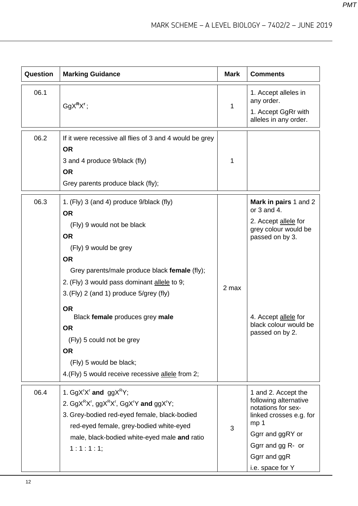| Question | <b>Marking Guidance</b>                                                                                                                                                                                                                                                                                                                                                                                                                                                      | <b>Mark</b> | <b>Comments</b>                                                                                                                                                                               |
|----------|------------------------------------------------------------------------------------------------------------------------------------------------------------------------------------------------------------------------------------------------------------------------------------------------------------------------------------------------------------------------------------------------------------------------------------------------------------------------------|-------------|-----------------------------------------------------------------------------------------------------------------------------------------------------------------------------------------------|
| 06.1     | $GgXRXr$ ;                                                                                                                                                                                                                                                                                                                                                                                                                                                                   | 1           | 1. Accept alleles in<br>any order.<br>1. Accept GgRr with<br>alleles in any order.                                                                                                            |
| 06.2     | If it were recessive all flies of 3 and 4 would be grey<br><b>OR</b><br>3 and 4 produce 9/black (fly)<br><b>OR</b><br>Grey parents produce black (fly);                                                                                                                                                                                                                                                                                                                      | 1           |                                                                                                                                                                                               |
| 06.3     | 1. (Fly) 3 (and 4) produce 9/black (fly)<br><b>OR</b><br>(Fly) 9 would not be black<br><b>OR</b><br>(Fly) 9 would be grey<br><b>OR</b><br>Grey parents/male produce black female (fly);<br>2. (Fly) 3 would pass dominant allele to 9;<br>$3.$ (Fly) 2 (and 1) produce $5$ /grey (fly)<br><b>OR</b><br>Black female produces grey male<br><b>OR</b><br>(Fly) 5 could not be grey<br><b>OR</b><br>(Fly) 5 would be black;<br>4.(Fly) 5 would receive recessive allele from 2; | 2 max       | Mark in pairs 1 and 2<br>or $3$ and $4$ .<br>2. Accept allele for<br>grey colour would be<br>passed on by 3.<br>4. Accept allele for<br>black colour would be<br>passed on by 2.              |
| 06.4     | 1. GgX'X' and $ggXRY$ ;<br>2. GgX <sup>R</sup> X <sup>r</sup> , ggX <sup>R</sup> X <sup>r</sup> , GgX <sup>r</sup> Y and ggX <sup>r</sup> Y;<br>3. Grey-bodied red-eyed female, black-bodied<br>red-eyed female, grey-bodied white-eyed<br>male, black-bodied white-eyed male and ratio<br>1:1:1:1;                                                                                                                                                                          | 3           | 1 and 2. Accept the<br>following alternative<br>notations for sex-<br>linked crosses e.g. for<br>mp <sub>1</sub><br>Ggrr and ggRY or<br>Ggrr and gg R- or<br>Ggrr and ggR<br>i.e. space for Y |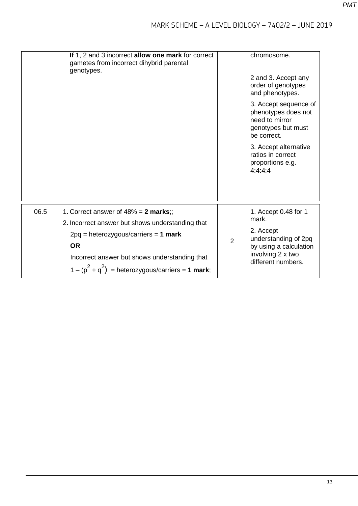|      | If 1, 2 and 3 incorrect allow one mark for correct<br>gametes from incorrect dihybrid parental<br>genotypes.                                                                                                                                           |                | chromosome.<br>2 and 3. Accept any<br>order of genotypes<br>and phenotypes.<br>3. Accept sequence of<br>phenotypes does not<br>need to mirror<br>genotypes but must<br>be correct.<br>3. Accept alternative<br>ratios in correct<br>proportions e.g.<br>4:4:4:4 |
|------|--------------------------------------------------------------------------------------------------------------------------------------------------------------------------------------------------------------------------------------------------------|----------------|-----------------------------------------------------------------------------------------------------------------------------------------------------------------------------------------------------------------------------------------------------------------|
| 06.5 | 1. Correct answer of $48\% = 2$ marks;;<br>2. Incorrect answer but shows understanding that<br>$2pq = heterozygous/carriers = 1 mark$<br><b>OR</b><br>Incorrect answer but shows understanding that<br>$1-(p^2+q^2)$ = heterozygous/carriers = 1 mark; | $\overline{2}$ | 1. Accept 0.48 for 1<br>mark.<br>2. Accept<br>understanding of 2pq<br>by using a calculation<br>involving 2 x two<br>different numbers.                                                                                                                         |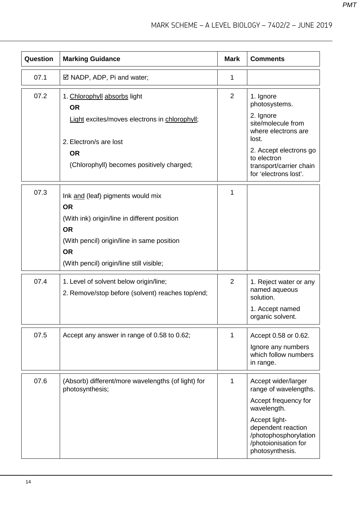| Question | <b>Marking Guidance</b>                                                                    | <b>Mark</b>    | <b>Comments</b>                                                                                         |
|----------|--------------------------------------------------------------------------------------------|----------------|---------------------------------------------------------------------------------------------------------|
| 07.1     | $\boxtimes$ NADP, ADP, Pi and water;                                                       | 1              |                                                                                                         |
| 07.2     | 1. Chlorophyll absorbs light<br><b>OR</b>                                                  | $\overline{2}$ | 1. Ignore<br>photosystems.                                                                              |
|          | Light excites/moves electrons in chlorophyll;                                              |                | 2. Ignore<br>site/molecule from<br>where electrons are<br>lost.                                         |
|          | 2. Electron/s are lost<br><b>OR</b>                                                        |                | 2. Accept electrons go                                                                                  |
|          | (Chlorophyll) becomes positively charged;                                                  |                | to electron<br>transport/carrier chain<br>for 'electrons lost'.                                         |
| 07.3     | Ink and (leaf) pigments would mix<br><b>OR</b>                                             | 1              |                                                                                                         |
|          | (With ink) origin/line in different position<br><b>OR</b>                                  |                |                                                                                                         |
|          | (With pencil) origin/line in same position<br><b>OR</b>                                    |                |                                                                                                         |
|          | (With pencil) origin/line still visible;                                                   |                |                                                                                                         |
| 07.4     | 1. Level of solvent below origin/line;<br>2. Remove/stop before (solvent) reaches top/end; | 2              | 1. Reject water or any<br>named aqueous<br>solution.                                                    |
|          |                                                                                            |                | 1. Accept named<br>organic solvent.                                                                     |
| 07.5     | Accept any answer in range of 0.58 to 0.62;                                                | 1              | Accept 0.58 or 0.62.                                                                                    |
|          |                                                                                            |                | Ignore any numbers<br>which follow numbers<br>in range.                                                 |
| 07.6     | (Absorb) different/more wavelengths (of light) for<br>photosynthesis;                      | 1              | Accept wider/larger<br>range of wavelengths.                                                            |
|          |                                                                                            |                | Accept frequency for<br>wavelength.                                                                     |
|          |                                                                                            |                | Accept light-<br>dependent reaction<br>/photophosphorylation<br>/photoionisation for<br>photosynthesis. |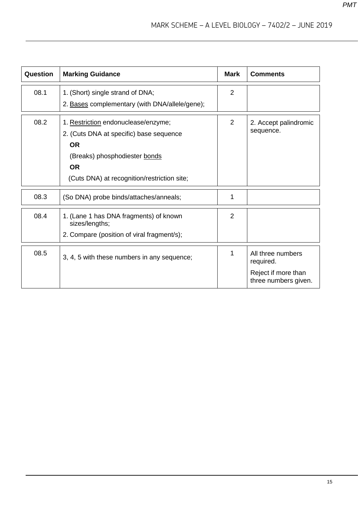| Question | <b>Marking Guidance</b>                                                                                                                                                                  | <b>Mark</b>    | <b>Comments</b>                                                               |
|----------|------------------------------------------------------------------------------------------------------------------------------------------------------------------------------------------|----------------|-------------------------------------------------------------------------------|
| 08.1     | 1. (Short) single strand of DNA;<br>2. Bases complementary (with DNA/allele/gene);                                                                                                       | $\overline{2}$ |                                                                               |
| 08.2     | 1. Restriction endonuclease/enzyme;<br>2. (Cuts DNA at specific) base sequence<br><b>OR</b><br>(Breaks) phosphodiester bonds<br><b>OR</b><br>(Cuts DNA) at recognition/restriction site; | 2              | 2. Accept palindromic<br>sequence.                                            |
| 08.3     | (So DNA) probe binds/attaches/anneals;                                                                                                                                                   | 1              |                                                                               |
| 08.4     | 1. (Lane 1 has DNA fragments) of known<br>sizes/lengths;<br>2. Compare (position of viral fragment/s);                                                                                   | $\overline{2}$ |                                                                               |
| 08.5     | 3, 4, 5 with these numbers in any sequence;                                                                                                                                              |                | All three numbers<br>required.<br>Reject if more than<br>three numbers given. |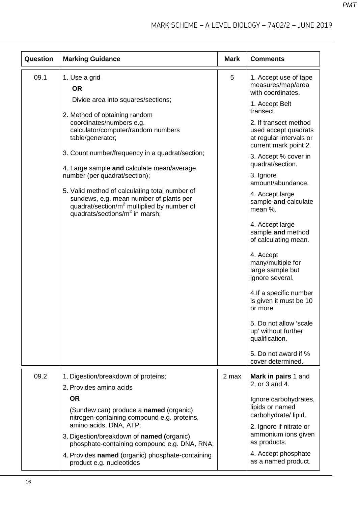| Question | <b>Marking Guidance</b>                                                                                                                                                                           | <b>Mark</b> | <b>Comments</b>                                                                                   |
|----------|---------------------------------------------------------------------------------------------------------------------------------------------------------------------------------------------------|-------------|---------------------------------------------------------------------------------------------------|
| 09.1     | 1. Use a grid<br><b>OR</b>                                                                                                                                                                        | 5           | 1. Accept use of tape<br>measures/map/area<br>with coordinates.                                   |
|          | Divide area into squares/sections;<br>2. Method of obtaining random                                                                                                                               |             | 1. Accept Belt<br>transect.                                                                       |
|          | coordinates/numbers e.g.<br>calculator/computer/random numbers<br>table/generator;                                                                                                                |             | 2. If transect method<br>used accept quadrats<br>at regular intervals or<br>current mark point 2. |
|          | 3. Count number/frequency in a quadrat/section;<br>4. Large sample and calculate mean/average                                                                                                     |             | 3. Accept % cover in<br>quadrat/section.                                                          |
|          | number (per quadrat/section);                                                                                                                                                                     |             | 3. Ignore<br>amount/abundance.                                                                    |
|          | 5. Valid method of calculating total number of<br>sundews, e.g. mean number of plants per<br>quadrat/section/m <sup>2</sup> multiplied by number of<br>quadrats/sections/m <sup>2</sup> in marsh; |             | 4. Accept large<br>sample and calculate<br>mean %.                                                |
|          |                                                                                                                                                                                                   |             | 4. Accept large<br>sample and method<br>of calculating mean.                                      |
|          |                                                                                                                                                                                                   |             | 4. Accept<br>many/multiple for<br>large sample but<br>ignore several.                             |
|          |                                                                                                                                                                                                   |             | 4. If a specific number<br>is given it must be 10<br>or more.                                     |
|          |                                                                                                                                                                                                   |             | 5. Do not allow 'scale<br>up' without further<br>qualification.                                   |
|          |                                                                                                                                                                                                   |             | 5. Do not award if %<br>cover determined.                                                         |
| 09.2     | 1. Digestion/breakdown of proteins;<br>2. Provides amino acids                                                                                                                                    | 2 max       | Mark in pairs 1 and<br>2, or 3 and 4.                                                             |
|          | <b>OR</b>                                                                                                                                                                                         |             | Ignore carbohydrates,                                                                             |
|          | (Sundew can) produce a <b>named</b> (organic)<br>nitrogen-containing compound e.g. proteins,                                                                                                      |             | lipids or named<br>carbohydrate/lipid.                                                            |
|          | amino acids, DNA, ATP;<br>3. Digestion/breakdown of named (organic)<br>phosphate-containing compound e.g. DNA, RNA;                                                                               |             | 2. Ignore if nitrate or<br>ammonium ions given<br>as products.                                    |
|          | 4. Provides named (organic) phosphate-containing<br>product e.g. nucleotides                                                                                                                      |             | 4. Accept phosphate<br>as a named product.                                                        |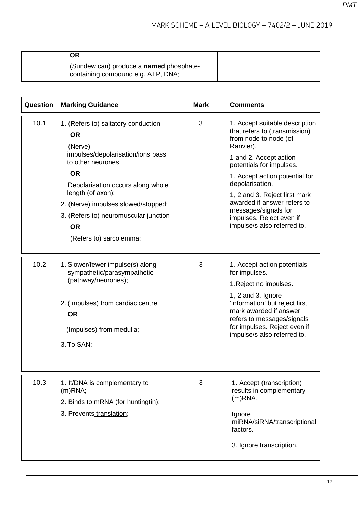| ОR                                                                                   |  |
|--------------------------------------------------------------------------------------|--|
| (Sundew can) produce a <b>named</b> phosphate-<br>containing compound e.g. ATP, DNA; |  |

| Question | <b>Marking Guidance</b>                                                                                                                                                                                                                                                                                              | <b>Mark</b> | <b>Comments</b>                                                                                                                                                                                                                                                                                                                                                     |
|----------|----------------------------------------------------------------------------------------------------------------------------------------------------------------------------------------------------------------------------------------------------------------------------------------------------------------------|-------------|---------------------------------------------------------------------------------------------------------------------------------------------------------------------------------------------------------------------------------------------------------------------------------------------------------------------------------------------------------------------|
| 10.1     | 1. (Refers to) saltatory conduction<br><b>OR</b><br>(Nerve)<br>impulses/depolarisation/ions pass<br>to other neurones<br><b>OR</b><br>Depolarisation occurs along whole<br>length (of axon);<br>2. (Nerve) impulses slowed/stopped;<br>3. (Refers to) neuromuscular junction<br><b>OR</b><br>(Refers to) sarcolemma; | 3           | 1. Accept suitable description<br>that refers to (transmission)<br>from node to node (of<br>Ranvier).<br>1 and 2. Accept action<br>potentials for impulses.<br>1. Accept action potential for<br>depolarisation.<br>1, 2 and 3. Reject first mark<br>awarded if answer refers to<br>messages/signals for<br>impulses. Reject even if<br>impulse/s also referred to. |
| 10.2     | 1. Slower/fewer impulse(s) along<br>sympathetic/parasympathetic<br>(pathway/neurones);<br>2. (Impulses) from cardiac centre<br><b>OR</b><br>(Impulses) from medulla;<br>3. To SAN;                                                                                                                                   | 3           | 1. Accept action potentials<br>for impulses.<br>1. Reject no impulses.<br>1, 2 and 3. Ignore<br>'information' but reject first<br>mark awarded if answer<br>refers to messages/signals<br>for impulses. Reject even if<br>impulse/s also referred to.                                                                                                               |
| 10.3     | 1. It/DNA is complementary to<br>$(m)$ RNA;<br>2. Binds to mRNA (for huntingtin);<br>3. Prevents translation;                                                                                                                                                                                                        | 3           | 1. Accept (transcription)<br>results in complementary<br>$(m)$ RNA.<br>Ignore<br>miRNA/siRNA/transcriptional<br>factors.<br>3. Ignore transcription.                                                                                                                                                                                                                |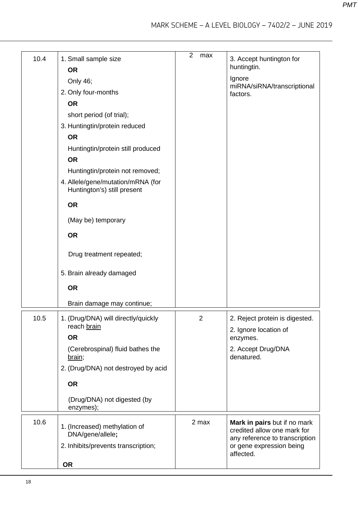| 10.4 | 1. Small sample size<br><b>OR</b><br>Only 46;<br>2. Only four-months<br><b>OR</b><br>short period (of trial);<br>3. Huntingtin/protein reduced<br><b>OR</b><br>Huntingtin/protein still produced<br><b>OR</b><br>Huntingtin/protein not removed;<br>4. Allele/gene/mutation/mRNA (for<br>Huntington's) still present<br><b>OR</b><br>(May be) temporary<br><b>OR</b><br>Drug treatment repeated;<br>5. Brain already damaged<br><b>OR</b><br>Brain damage may continue; | $\overline{2}$<br>max | 3. Accept huntington for<br>huntingtin.<br>Ignore<br>miRNA/siRNA/transcriptional<br>factors.                                           |
|------|-------------------------------------------------------------------------------------------------------------------------------------------------------------------------------------------------------------------------------------------------------------------------------------------------------------------------------------------------------------------------------------------------------------------------------------------------------------------------|-----------------------|----------------------------------------------------------------------------------------------------------------------------------------|
|      |                                                                                                                                                                                                                                                                                                                                                                                                                                                                         |                       |                                                                                                                                        |
| 10.5 | 1. (Drug/DNA) will directly/quickly<br>reach brain                                                                                                                                                                                                                                                                                                                                                                                                                      | 2                     | 2. Reject protein is digested.<br>2. Ignore location of                                                                                |
|      | <b>OR</b>                                                                                                                                                                                                                                                                                                                                                                                                                                                               |                       | enzymes.                                                                                                                               |
|      | (Cerebrospinal) fluid bathes the<br>brain;                                                                                                                                                                                                                                                                                                                                                                                                                              |                       | 2. Accept Drug/DNA<br>denatured.                                                                                                       |
|      | 2. (Drug/DNA) not destroyed by acid                                                                                                                                                                                                                                                                                                                                                                                                                                     |                       |                                                                                                                                        |
|      | <b>OR</b>                                                                                                                                                                                                                                                                                                                                                                                                                                                               |                       |                                                                                                                                        |
|      | (Drug/DNA) not digested (by<br>enzymes);                                                                                                                                                                                                                                                                                                                                                                                                                                |                       |                                                                                                                                        |
| 10.6 | 1. (Increased) methylation of<br>DNA/gene/allele;<br>2. Inhibits/prevents transcription;                                                                                                                                                                                                                                                                                                                                                                                | 2 max                 | Mark in pairs but if no mark<br>credited allow one mark for<br>any reference to transcription<br>or gene expression being<br>affected. |
|      | <b>OR</b>                                                                                                                                                                                                                                                                                                                                                                                                                                                               |                       |                                                                                                                                        |